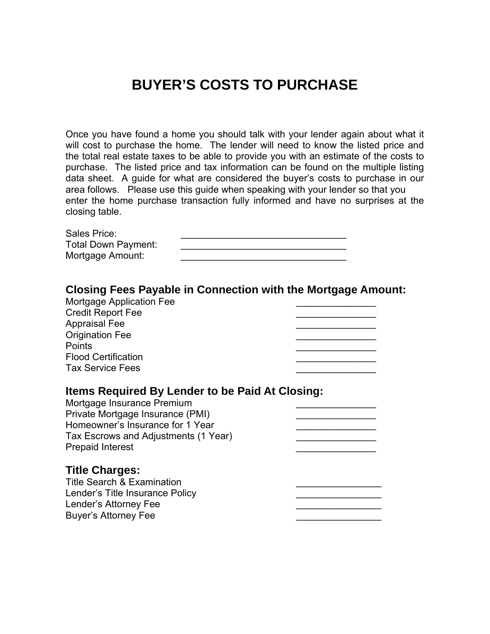## **BUYER'S COSTS TO PURCHASE**

Once you have found a home you should talk with your lender again about what it will cost to purchase the home. The lender will need to know the listed price and the total real estate taxes to be able to provide you with an estimate of the costs to purchase. The listed price and tax information can be found on the multiple listing data sheet. A guide for what are considered the buyer's costs to purchase in our area follows. Please use this guide when speaking with your lender so that you enter the home purchase transaction fully informed and have no surprises at the closing table.

| Sales Price:               |  |
|----------------------------|--|
| <b>Total Down Payment:</b> |  |
| Mortgage Amount:           |  |

## **Closing Fees Payable in Connection with the Mortgage Amount:**  Mortgage Application Fee \_\_\_\_\_\_\_\_\_\_\_\_\_\_\_

| Mortgage Application Fee<br><b>Credit Report Fee</b><br><b>Appraisal Fee</b><br><b>Origination Fee</b><br><b>Points</b><br><b>Flood Certification</b><br><b>Tax Service Fees</b>                                         |  |
|--------------------------------------------------------------------------------------------------------------------------------------------------------------------------------------------------------------------------|--|
| Items Required By Lender to be Paid At Closing:<br>Mortgage Insurance Premium<br>Private Mortgage Insurance (PMI)<br>Homeowner's Insurance for 1 Year<br>Tax Escrows and Adjustments (1 Year)<br><b>Prepaid Interest</b> |  |
| <b>Title Charges:</b><br><b>Title Search &amp; Examination</b><br>Lender's Title Insurance Policy<br>Lender's Attorney Fee<br><b>Buyer's Attorney Fee</b>                                                                |  |